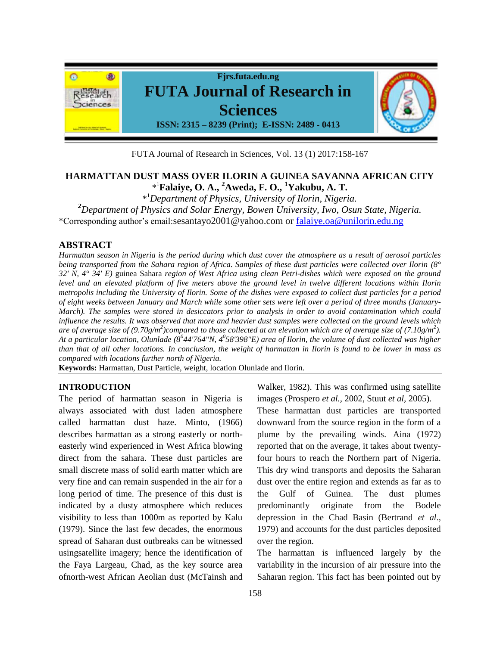

FUTA Journal of Research in Sciences, Vol. 13 (1) 2017:158-167

# **HARMATTAN DUST MASS OVER ILORIN A GUINEA SAVANNA AFRICAN CITY** \* <sup>1</sup>**Falaiye, O. A., <sup>2</sup>Aweda, F. O., <sup>1</sup>Yakubu, A. T.**

\* <sup>1</sup>*Department of Physics, University of Ilorin, Nigeria.*

*<sup>2</sup>Department of Physics and Solar Energy, Bowen University, Iwo, Osun State, Nigeria.*

\*Corresponding author's email:sesantayo2001@yahoo.com or [falaiye.oa@unilorin.edu.ng](mailto:falaiye.oa@unilorin.edu.ng)

# **ABSTRACT**

*Harmattan season in Nigeria is the period during which dust cover the atmosphere as a result of aerosol particles being transported from the Sahara region of Africa. Samples of these dust particles were collected over Ilorin (8° 32' N, 4° 34' E)* guinea Sahara *region of West Africa using clean Petri-dishes which were exposed on the ground level and an elevated platform of five meters above the ground level in twelve different locations within Ilorin metropolis including the University of Ilorin. Some of the dishes were exposed to collect dust particles for a period of eight weeks between January and March while some other sets were left over a period of three months (January-March*). The samples were stored in desiccators prior to analysis in order to avoid contamination which could *influence the results. It was observed that more and heavier dust samples were collected on the ground levels which are of average size of (9.70g/m<sup>2</sup> )compared to those collected at an elevation which are of average size of (7.10g/m<sup>2</sup> ). At a particular location, Olunlade (8<sup>0</sup> 44'764''N, 4<sup>0</sup> 58'398''E) area of Ilorin, the volume of dust collected was higher than that of all other locations. In conclusion, the weight of harmattan in Ilorin is found to be lower in mass as compared with locations further north of Nigeria.*

**Keywords:** Harmattan, Dust Particle, weight, location Olunlade and Ilorin.

#### **INTRODUCTION**

The period of harmattan season in Nigeria is always associated with dust laden atmosphere called harmattan dust haze. Minto, (1966) describes harmattan as a strong easterly or northeasterly wind experienced in West Africa blowing direct from the sahara. These dust particles are small discrete mass of solid earth matter which are very fine and can remain suspended in the air for a long period of time. The presence of this dust is indicated by a dusty atmosphere which reduces visibility to less than 1000m as reported by Kalu (1979). Since the last few decades, the enormous spread of Saharan dust outbreaks can be witnessed usingsatellite imagery; hence the identification of the Faya Largeau, Chad, as the key source area ofnorth-west African Aeolian dust (McTainsh and

Walker, 1982). This was confirmed using satellite images (Prospero *et al.,* 2002, Stuut *et al,* 2005).

These harmattan dust particles are transported downward from the source region in the form of a plume by the prevailing winds. Aina (1972) reported that on the average, it takes about twentyfour hours to reach the Northern part of Nigeria. This dry wind transports and deposits the Saharan dust over the entire region and extends as far as to the Gulf of Guinea. The dust plumes predominantly originate from the Bodele depression in the Chad Basin (Bertrand *et al*., 1979) and accounts for the dust particles deposited over the region.

The harmattan is influenced largely by the variability in the incursion of air pressure into the Saharan region. This fact has been pointed out by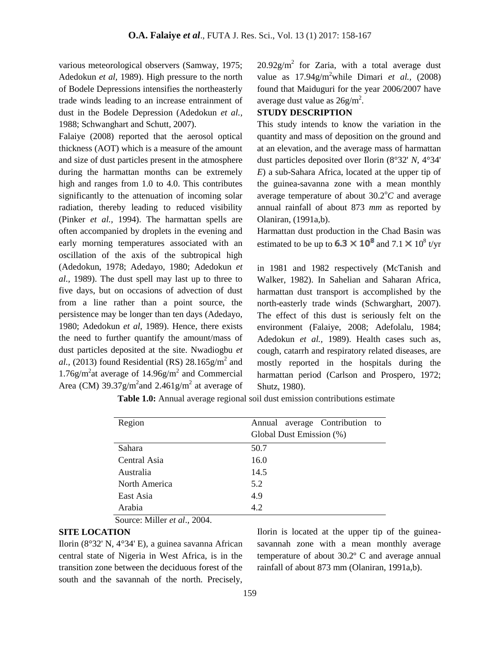various meteorological observers (Samway, 1975; Adedokun *et al,* 1989). High pressure to the north of Bodele Depressions intensifies the northeasterly trade winds leading to an increase entrainment of dust in the Bodele Depression (Adedokun *et al.,*  1988; Schwanghart and Schutt, 2007).

Falaiye (2008) reported that the aerosol optical thickness (AOT) which is a measure of the amount and size of dust particles present in the atmosphere during the harmattan months can be extremely high and ranges from 1.0 to 4.0. This contributes significantly to the attenuation of incoming solar radiation, thereby leading to reduced visibility (Pinker *et al.,* 1994). The harmattan spells are often accompanied by droplets in the evening and early morning temperatures associated with an oscillation of the axis of the subtropical high (Adedokun, 1978; Adedayo, 1980; Adedokun *et al.,* 1989). The dust spell may last up to three to five days, but on occasions of advection of dust from a line rather than a point source, the persistence may be longer than ten days (Adedayo, 1980; Adedokun *et al,* 1989). Hence, there exists the need to further quantify the amount/mass of dust particles deposited at the site. Nwadiogbu *et*  al., (2013) found Residential (RS)  $28.165$  g/m<sup>2</sup> and  $1.76$ g/m<sup>2</sup> at average of  $14.96$ g/m<sup>2</sup> and Commercial Area (CM)  $39.37g/m^2$  and  $2.461g/m^2$  at average of

 $20.92$ g/m<sup>2</sup> for Zaria, with a total average dust value as  $17.94g/m^2$ while Dimari *et al.*, (2008) found that Maiduguri for the year 2006/2007 have average dust value as  $26g/m^2$ .

# **STUDY DESCRIPTION**

This study intends to know the variation in the quantity and mass of deposition on the ground and at an elevation, and the average mass of harmattan dust particles deposited over Ilorin (8°32' *N*, 4°34' *E*) a sub-Sahara Africa, located at the upper tip of the guinea-savanna zone with a mean monthly average temperature of about  $30.2^{\circ}$ C and average annual rainfall of about 873 *mm* as reported by Olaniran, (1991a,b).

Harmattan dust production in the Chad Basin was estimated to be up to  $6.3 \times 10^8$  and  $7.1 \times 10^8$  t/yr

in 1981 and 1982 respectively (McTanish and Walker, 1982). In Sahelian and Saharan Africa, harmattan dust transport is accomplished by the north-easterly trade winds (Schwarghart, 2007). The effect of this dust is seriously felt on the environment (Falaiye, 2008; Adefolalu, 1984; Adedokun *et al.,* 1989). Health cases such as, cough, catarrh and respiratory related diseases, are mostly reported in the hospitals during the harmattan period (Carlson and Prospero, 1972; Shutz, 1980).

| Region        | Annual average Contribution to |  |  |  |
|---------------|--------------------------------|--|--|--|
|               | Global Dust Emission (%)       |  |  |  |
| Sahara        | 50.7                           |  |  |  |
| Central Asia  | 16.0                           |  |  |  |
| Australia     | 14.5                           |  |  |  |
| North America | 5.2                            |  |  |  |
| East Asia     | 4.9                            |  |  |  |
| Arabia        | 4.2                            |  |  |  |

**Table 1.0:** Annual average regional soil dust emission contributions estimate

Source: Miller *et al*., 2004.

# **SITE LOCATION**

Ilorin (8°32' N, 4°34' E), a guinea savanna African central state of Nigeria in West Africa, is in the transition zone between the deciduous forest of the south and the savannah of the north. Precisely,

Ilorin is located at the upper tip of the guineasavannah zone with a mean monthly average temperature of about 30.2º C and average annual rainfall of about 873 mm (Olaniran, 1991a,b).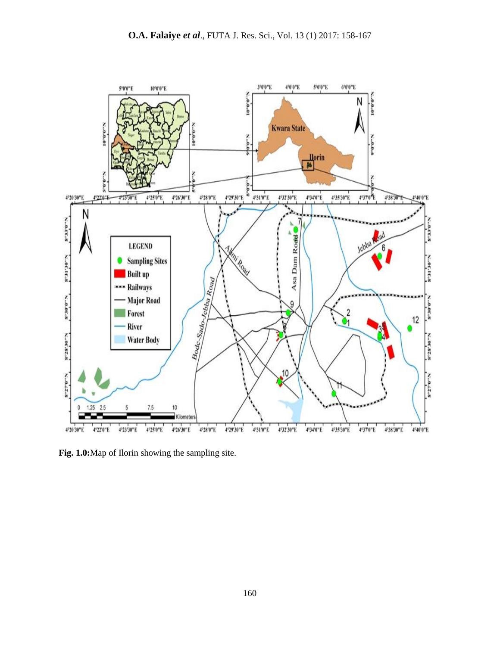

**Fig. 1.0:**Map of Ilorin showing the sampling site.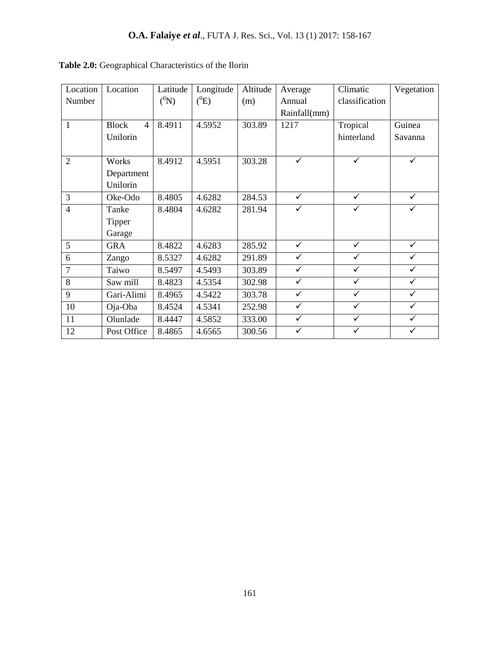| Location       | Location                       | Latitude | Longitude | Altitude | Average      | Climatic       | Vegetation   |
|----------------|--------------------------------|----------|-----------|----------|--------------|----------------|--------------|
| Number         |                                | $(^0N)$  | $(^0E)$   | (m)      | Annual       | classification |              |
|                |                                |          |           |          | Rainfall(mm) |                |              |
| $\mathbf{1}$   | <b>Block</b><br>$\overline{4}$ | 8.4911   | 4.5952    | 303.89   | 1217         | Tropical       | Guinea       |
|                | Unilorin                       |          |           |          |              | hinterland     | Savanna      |
|                |                                |          |           |          |              |                |              |
| $\overline{2}$ | Works                          | 8.4912   | 4.5951    | 303.28   | ✓            | ✓              | ✓            |
|                | Department                     |          |           |          |              |                |              |
|                | Unilorin                       |          |           |          |              |                |              |
| 3              | Oke-Odo                        | 8.4805   | 4.6282    | 284.53   | $\checkmark$ | $\checkmark$   | ✓            |
| $\overline{4}$ | Tanke                          | 8.4804   | 4.6282    | 281.94   | $\checkmark$ | ✓              | ✓            |
|                | Tipper                         |          |           |          |              |                |              |
|                | Garage                         |          |           |          |              |                |              |
| 5              | <b>GRA</b>                     | 8.4822   | 4.6283    | 285.92   | $\checkmark$ | $\checkmark$   | ✓            |
| 6              | Zango                          | 8.5327   | 4.6282    | 291.89   | $\checkmark$ | $\checkmark$   | $\checkmark$ |
| $\overline{7}$ | Taiwo                          | 8.5497   | 4.5493    | 303.89   | $\checkmark$ | ✓              | ✓            |
| 8              | Saw mill                       | 8.4823   | 4.5354    | 302.98   | $\checkmark$ | $\checkmark$   | $\checkmark$ |
| 9              | Gari-Alimi                     | 8.4965   | 4.5422    | 303.78   | $\checkmark$ | $\checkmark$   | $\checkmark$ |
| 10             | Oja-Oba                        | 8.4524   | 4.5341    | 252.98   | $\checkmark$ | ✓              | ✓            |
| 11             | Olunlade                       | 8.4447   | 4.5852    | 333.00   | $\checkmark$ | $\checkmark$   | ✓            |
| 12             | Post Office                    | 8.4865   | 4.6565    | 300.56   | ✓            | ✓              | ✓            |

# **Table 2.0:** Geographical Characteristics of the Ilorin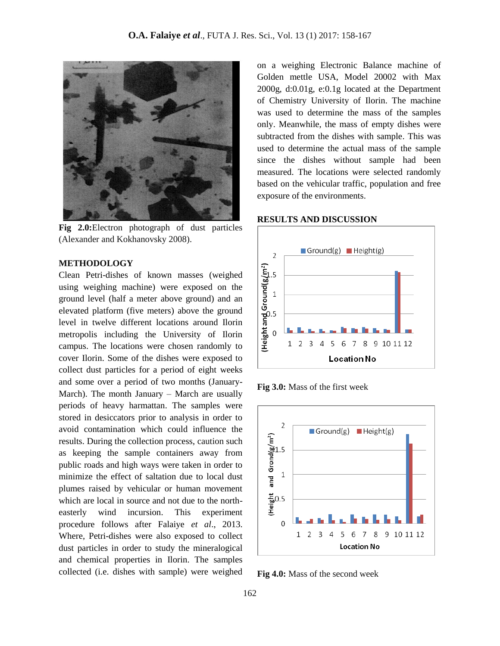

**Fig 2.0:**Electron photograph of dust particles (Alexander and Kokhanovsky 2008).

#### **METHODOLOGY**

Clean Petri-dishes of known masses (weighed using weighing machine) were exposed on the ground level (half a meter above ground) and an elevated platform (five meters) above the ground level in twelve different locations around Ilorin metropolis including the University of Ilorin campus. The locations were chosen randomly to cover Ilorin. Some of the dishes were exposed to collect dust particles for a period of eight weeks and some over a period of two months (January-March). The month January – March are usually periods of heavy harmattan. The samples were stored in desiccators prior to analysis in order to avoid contamination which could influence the results. During the collection process, caution such as keeping the sample containers away from public roads and high ways were taken in order to minimize the effect of saltation due to local dust plumes raised by vehicular or human movement which are local in source and not due to the northeasterly wind incursion. This experiment procedure follows after Falaiye *et al*., 2013. Where, Petri-dishes were also exposed to collect dust particles in order to study the mineralogical and chemical properties in Ilorin. The samples collected (i.e. dishes with sample) were weighed

on a weighing Electronic Balance machine of Golden mettle USA, Model 20002 with Max 2000g, d:0.01g, e:0.1g located at the Department of Chemistry University of Ilorin. The machine was used to determine the mass of the samples only. Meanwhile, the mass of empty dishes were subtracted from the dishes with sample. This was used to determine the actual mass of the sample since the dishes without sample had been measured. The locations were selected randomly based on the vehicular traffic, population and free exposure of the environments.

#### **RESULTS AND DISCUSSION**



**Fig 3.0:** Mass of the first week



**Fig 4.0:** Mass of the second week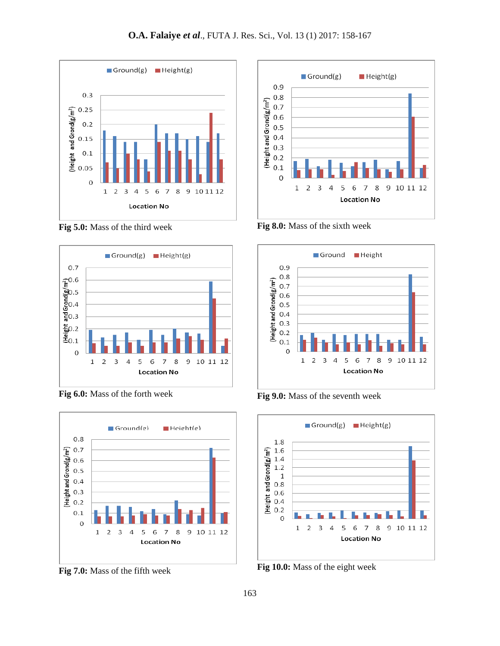

**Fig 5.0:** Mass of the third week



**Fig 6.0:** Mass of the forth week



**Fig 7.0:** Mass of the fifth week



**Fig 8.0:** Mass of the sixth week



**Fig 9.0:** Mass of the seventh week



**Fig 10.0:** Mass of the eight week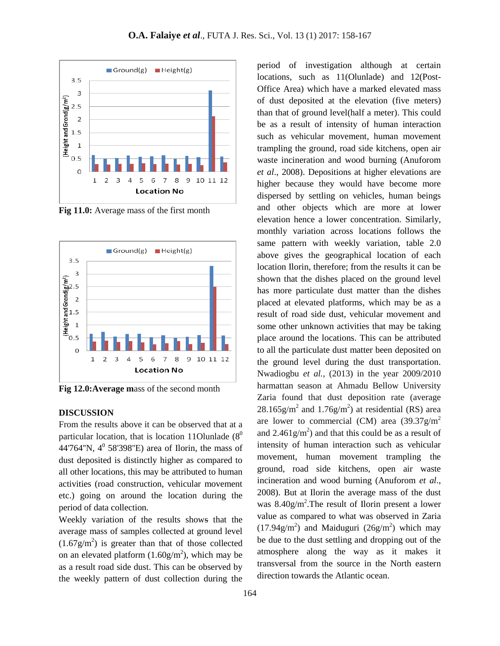

**Fig 11.0:** Average mass of the first month



**Fig 12.0:Average m**ass of the second month

# **DISCUSSION**

From the results above it can be observed that at a particular location, that is location 11Olunlade  $(8^0)$ 44'764"N,  $4^0$  58'398"E) area of Ilorin, the mass of dust deposited is distinctly higher as compared to all other locations, this may be attributed to human activities (road construction, vehicular movement etc.) going on around the location during the period of data collection.

Weekly variation of the results shows that the average mass of samples collected at ground level  $(1.67g/m<sup>2</sup>)$  is greater than that of those collected on an elevated platform  $(1.60g/m^2)$ , which may be as a result road side dust. This can be observed by the weekly pattern of dust collection during the period of investigation although at certain locations, such as 11(Olunlade) and 12(Post-Office Area) which have a marked elevated mass of dust deposited at the elevation (five meters) than that of ground level(half a meter). This could be as a result of intensity of human interaction such as vehicular movement, human movement trampling the ground, road side kitchens, open air waste incineration and wood burning (Anuforom *et al*., 2008). Depositions at higher elevations are higher because they would have become more dispersed by settling on vehicles, human beings and other objects which are more at lower elevation hence a lower concentration. Similarly, monthly variation across locations follows the same pattern with weekly variation, table 2.0 above gives the geographical location of each location Ilorin, therefore; from the results it can be shown that the dishes placed on the ground level has more particulate dust matter than the dishes placed at elevated platforms, which may be as a result of road side dust, vehicular movement and some other unknown activities that may be taking place around the locations. This can be attributed to all the particulate dust matter been deposited on the ground level during the dust transportation. Nwadiogbu *et al.,* (2013) in the year 2009/2010 harmattan season at Ahmadu Bellow University Zaria found that dust deposition rate (average  $28.165$ g/m<sup>2</sup> and  $1.76$ g/m<sup>2</sup>) at residential (RS) area are lower to commercial (CM) area  $(39.37)$ g/m<sup>2</sup> and  $2.461g/m<sup>2</sup>$ ) and that this could be as a result of intensity of human interaction such as vehicular movement, human movement trampling the ground, road side kitchens, open air waste incineration and wood burning (Anuforom *et al*., 2008). But at Ilorin the average mass of the dust was 8.40g/m<sup>2</sup>. The result of Ilorin present a lower value as compared to what was observed in Zaria  $(17.94g/m<sup>2</sup>)$  and Maiduguri  $(26g/m<sup>2</sup>)$  which may be due to the dust settling and dropping out of the atmosphere along the way as it makes it transversal from the source in the North eastern direction towards the Atlantic ocean.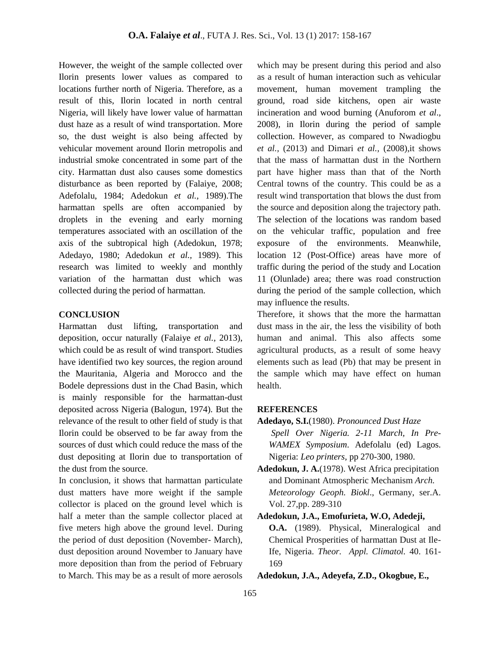However, the weight of the sample collected over Ilorin presents lower values as compared to locations further north of Nigeria. Therefore, as a result of this, Ilorin located in north central Nigeria, will likely have lower value of harmattan dust haze as a result of wind transportation. More so, the dust weight is also being affected by vehicular movement around Ilorin metropolis and industrial smoke concentrated in some part of the city. Harmattan dust also causes some domestics disturbance as been reported by (Falaiye, 2008; Adefolalu, 1984; Adedokun *et al.,* 1989).The harmattan spells are often accompanied by droplets in the evening and early morning temperatures associated with an oscillation of the axis of the subtropical high (Adedokun, 1978; Adedayo, 1980; Adedokun *et al.,* 1989). This research was limited to weekly and monthly variation of the harmattan dust which was collected during the period of harmattan.

#### **CONCLUSION**

Harmattan dust lifting, transportation and deposition, occur naturally (Falaiye *et al.,* 2013), which could be as result of wind transport. Studies have identified two key sources, the region around the Mauritania, Algeria and Morocco and the Bodele depressions dust in the Chad Basin, which is mainly responsible for the harmattan-dust deposited across Nigeria (Balogun, 1974). But the relevance of the result to other field of study is that Ilorin could be observed to be far away from the sources of dust which could reduce the mass of the dust depositing at Ilorin due to transportation of the dust from the source.

In conclusion, it shows that harmattan particulate dust matters have more weight if the sample collector is placed on the ground level which is half a meter than the sample collector placed at five meters high above the ground level. During the period of dust deposition (November- March), dust deposition around November to January have more deposition than from the period of February to March. This may be as a result of more aerosols

which may be present during this period and also as a result of human interaction such as vehicular movement, human movement trampling the ground, road side kitchens, open air waste incineration and wood burning (Anuforom *et al*., 2008), in Ilorin during the period of sample collection. However, as compared to Nwadiogbu *et al.,* (2013) and Dimari *et al.,* (2008),it shows that the mass of harmattan dust in the Northern part have higher mass than that of the North Central towns of the country. This could be as a result wind transportation that blows the dust from the source and deposition along the trajectory path. The selection of the locations was random based on the vehicular traffic, population and free exposure of the environments. Meanwhile, location 12 (Post-Office) areas have more of traffic during the period of the study and Location 11 (Olunlade) area; there was road construction during the period of the sample collection, which may influence the results.

Therefore, it shows that the more the harmattan dust mass in the air, the less the visibility of both human and animal. This also affects some agricultural products, as a result of some heavy elements such as lead (Pb) that may be present in the sample which may have effect on human health.

# **REFERENCES**

- **Adedayo, S.I.**(1980). *Pronounced Dust Haze Spell Over Nigeria. 2-11 March, In Pre-WAMEX Symposium*. Adefolalu (ed) Lagos. Nigeria: *Leo printers*, pp 270-300, 1980.
- **Adedokun, J. A.**(1978). West Africa precipitation and Dominant Atmospheric Mechanism *Arch. Meteorology Geoph. Biokl*., Germany, ser.A. Vol. 27,pp. 289-310

**Adedokun, J.A., Emofurieta, W.O, Adedeji, O.A.** (1989). Physical, Mineralogical and Chemical Prosperities of harmattan Dust at Ile-Ife, Nigeria. *Theor. Appl. Climatol.* 40. 161- 169

**Adedokun, J.A., Adeyefa, Z.D., Okogbue, E.,**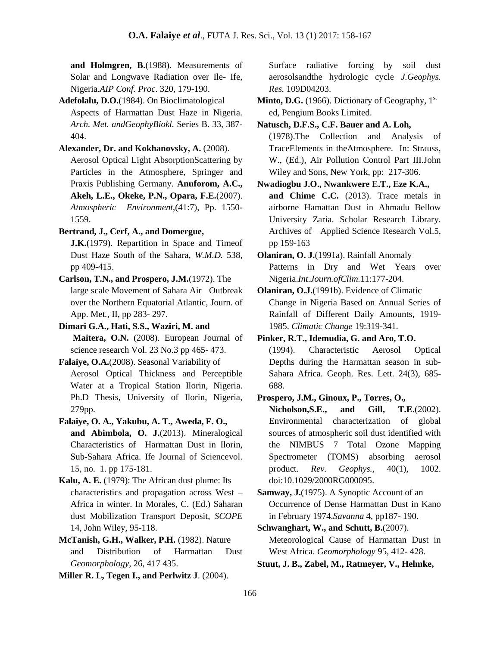**and Holmgren, B.**(1988). Measurements of Solar and Longwave Radiation over Ile- Ife, Nigeria.*AIP Conf. Proc*. 320, 179-190.

**Adefolalu, D.O.**(1984). On Bioclimatological Aspects of Harmattan Dust Haze in Nigeria. *Arch. Met. andGeophyBiokl.* Series B. 33, 387- 404.

**Alexander, Dr. and Kokhanovsky, A.** (2008). Aerosol Optical Light AbsorptionScattering by Particles in the Atmosphere, Springer and Praxis Publishing Germany. **Anuforom, A.C., Akeh, L.E., Okeke, P.N., Opara, F.E.**(2007). *Atmospheric Environment*,(41:7), Pp. 1550- 1559.

**Bertrand, J., Cerf, A., and Domergue,**

**J.K.**(1979). Repartition in Space and Timeof Dust Haze South of the Sahara, *W.M.D.* 538, pp 409-415.

**Carlson, T.N., and Prospero, J.M.**(1972). The large scale Movement of Sahara Air Outbreak over the Northern Equatorial Atlantic, Journ. of App. Met*.,* II, pp 283- 297.

**Dimari G.A., Hati, S.S., Waziri, M. and Maitera, O.N.** (2008). European Journal of science research Vol. 23 No.3 pp 465- 473.

**Falaiye, O.A.**(2008). Seasonal Variability of Aerosol Optical Thickness and Perceptible Water at a Tropical Station Ilorin, Nigeria. Ph.D Thesis, University of Ilorin, Nigeria, 279pp.

**Falaiye, O. A., Yakubu, A. T., Aweda, F. O., and Abimbola, O. J.**(2013). Mineralogical Characteristics of Harmattan Dust in Ilorin, Sub-Sahara Africa. Ife Journal of Sciencevol. 15, no. 1. pp 175-181.

**Kalu, A. E.** (1979): The African dust plume: Its characteristics and propagation across West – Africa in winter. In Morales, C. (Ed.) Saharan dust Mobilization Transport Deposit, *SCOPE*  14, John Wiley, 95-118.

**McTanish, G.H., Walker, P.H.** (1982). Nature and Distribution of Harmattan Dust *Geomorphology*, 26, 417 435.

**Miller R. L, Tegen I., and Perlwitz J**. (2004).

Surface radiative forcing by soil dust aerosolsandthe hydrologic cycle *J.Geophys. Res.* 109D04203.

**Minto, D.G.** (1966). Dictionary of Geography, 1<sup>st</sup> ed, Pengium Books Limited.

**Natusch, D.F.S., C.F. Bauer and A. Loh,** (1978).The Collection and Analysis of TraceElements in theAtmosphere. In: Strauss, W., (Ed.), Air Pollution Control Part III.John Wiley and Sons, New York, pp: 217-306.

**Nwadiogbu J.O., Nwankwere E.T., Eze K.A., and Chime C.C.** (2013). Trace metals in airborne Hamattan Dust in Ahmadu Bellow University Zaria. Scholar Research Library. Archives of Applied Science Research Vol.5, pp 159-163

**Olaniran, O. J.**(1991a). Rainfall Anomaly Patterns in Dry and Wet Years over Nigeria.*Int.Journ.ofClim.*11:177-204.

**Olaniran, O.J.**(1991b). Evidence of Climatic Change in Nigeria Based on Annual Series of Rainfall of Different Daily Amounts, 1919- 1985. *Climatic Change* 19:319-341*.*

**Pinker, R.T., Idemudia, G. and Aro, T.O.** (1994). Characteristic Aerosol Optical Depths during the Harmattan season in sub-Sahara Africa. Geoph. Res. Lett. 24(3), 685- 688.

**Prospero, J.M., Ginoux, P., Torres, O.,**

**Nicholson,S.E., and Gill, T.E.**(2002). Environmental characterization of global sources of atmospheric soil dust identified with the NIMBUS 7 Total Ozone Mapping Spectrometer (TOMS) absorbing aerosol product. *Rev. Geophys.,* 40(1), 1002. doi:10.1029/2000RG000095.

**Samway, J.**(1975). A Synoptic Account of an Occurrence of Dense Harmattan Dust in Kano in February 1974.*Savanna* 4, pp187- 190.

**Schwanghart, W., and Schutt, B.**(2007). Meteorological Cause of Harmattan Dust in West Africa. *Geomorphology* 95, 412- 428.

**Stuut, J. B., Zabel, M., Ratmeyer, V., Helmke,**